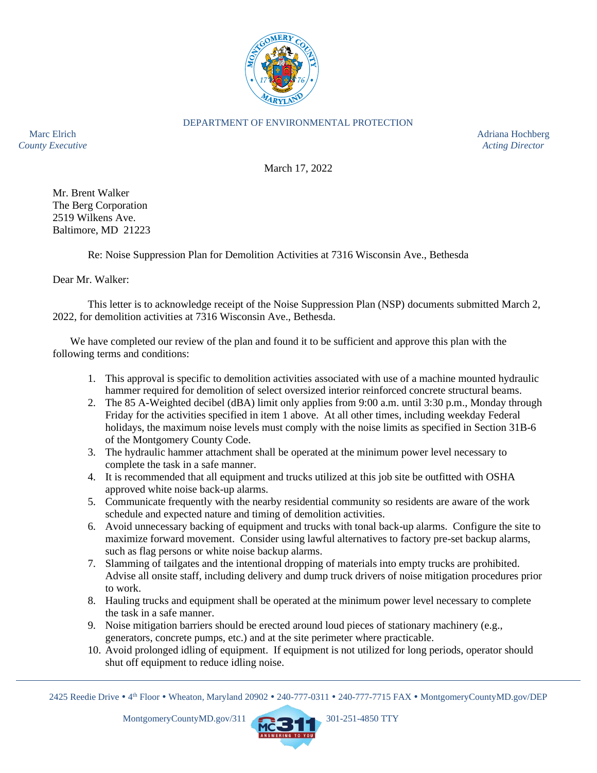

## DEPARTMENT OF ENVIRONMENTAL PROTECTION

Marc Elrich Adriana Hochberg and the Adriana Hochberg and the Adriana Hochberg and the Adriana Hochberg and the Adriana Hochberg and the Adriana Hochberg and the Adriana Hochberg and the Adriana Hochberg and the Adriana Ho *County Executive Acting Director*

March 17, 2022

Mr. Brent Walker The Berg Corporation 2519 Wilkens Ave. Baltimore, MD 21223

Re: Noise Suppression Plan for Demolition Activities at 7316 Wisconsin Ave., Bethesda

Dear Mr. Walker:

This letter is to acknowledge receipt of the Noise Suppression Plan (NSP) documents submitted March 2, 2022, for demolition activities at 7316 Wisconsin Ave., Bethesda.

We have completed our review of the plan and found it to be sufficient and approve this plan with the following terms and conditions:

- 1. This approval is specific to demolition activities associated with use of a machine mounted hydraulic hammer required for demolition of select oversized interior reinforced concrete structural beams.
- 2. The 85 A-Weighted decibel (dBA) limit only applies from 9:00 a.m. until 3:30 p.m., Monday through Friday for the activities specified in item 1 above. At all other times, including weekday Federal holidays, the maximum noise levels must comply with the noise limits as specified in Section 31B-6 of the Montgomery County Code.
- 3. The hydraulic hammer attachment shall be operated at the minimum power level necessary to complete the task in a safe manner.
- 4. It is recommended that all equipment and trucks utilized at this job site be outfitted with OSHA approved white noise back-up alarms.
- 5. Communicate frequently with the nearby residential community so residents are aware of the work schedule and expected nature and timing of demolition activities.
- 6. Avoid unnecessary backing of equipment and trucks with tonal back-up alarms. Configure the site to maximize forward movement. Consider using lawful alternatives to factory pre-set backup alarms, such as flag persons or white noise backup alarms.
- 7. Slamming of tailgates and the intentional dropping of materials into empty trucks are prohibited. Advise all onsite staff, including delivery and dump truck drivers of noise mitigation procedures prior to work.
- 8. Hauling trucks and equipment shall be operated at the minimum power level necessary to complete the task in a safe manner.
- 9. Noise mitigation barriers should be erected around loud pieces of stationary machinery (e.g., generators, concrete pumps, etc.) and at the site perimeter where practicable.
- 10. Avoid prolonged idling of equipment. If equipment is not utilized for long periods, operator should shut off equipment to reduce idling noise.



<sup>2425</sup> Reedie Drive • 4<sup>th</sup> Floor • Wheaton, Maryland 20902 • 240-777-0311 • 240-777-7715 FAX • MontgomeryCountyMD.gov/DEP